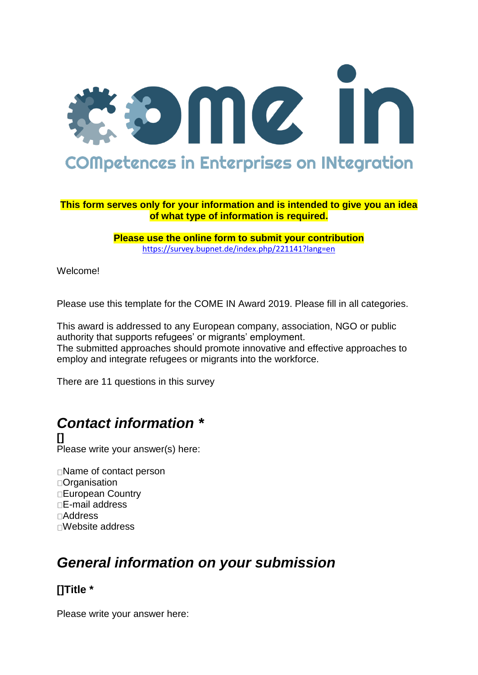

#### **This form serves only for your information and is intended to give you an idea of what type of information is required.**

**Please use the online form to submit your contribution** <https://survey.bupnet.de/index.php/221141?lang=en>

Welcome!

Please use this template for the COME IN Award 2019. Please fill in all categories.

This award is addressed to any European company, association, NGO or public authority that supports refugees' or migrants' employment. The submitted approaches should promote innovative and effective approaches to employ and integrate refugees or migrants into the workforce.

There are 11 questions in this survey

# *Contact information \**

**[]** Please write your answer(s) here:

□Name of contact person **D**Crganisation European Country E-mail address Address Website address

# *General information on your submission*

# **[]Title \***

Please write your answer here: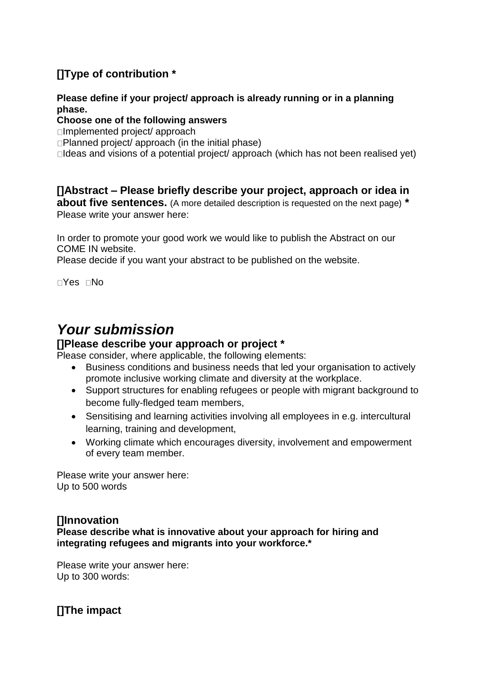# **[]Type of contribution \***

#### **Please define if your project/ approach is already running or in a planning phase.**

#### **Choose one of the following answers**

□Implemented project/ approach

 $\Box$ Planned project/ approach (in the initial phase)

 $\Box$ Ideas and visions of a potential project/ approach (which has not been realised yet)

## **[]Abstract – Please briefly describe your project, approach or idea in**

**about five sentences.** (A more detailed description is requested on the next page) **\*** Please write your answer here:

In order to promote your good work we would like to publish the Abstract on our COME IN website.

Please decide if you want your abstract to be published on the website.

□Yes □No

# *Your submission*

## **[]Please describe your approach or project \***

Please consider, where applicable, the following elements:

- Business conditions and business needs that led your organisation to actively promote inclusive working climate and diversity at the workplace.
- Support structures for enabling refugees or people with migrant background to become fully-fledged team members,
- Sensitising and learning activities involving all employees in e.g. intercultural learning, training and development,
- Working climate which encourages diversity, involvement and empowerment of every team member.

Please write your answer here: Up to 500 words

## **[]Innovation**

**Please describe what is innovative about your approach for hiring and integrating refugees and migrants into your workforce.\***

Please write your answer here: Up to 300 words:

**[]The impact**